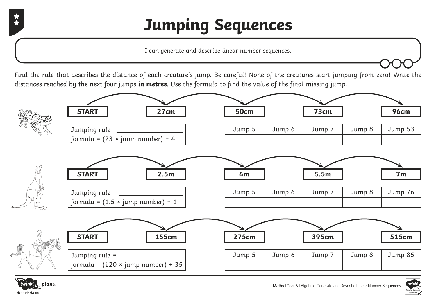## **Jumping Sequences**

I can generate and describe linear number sequences.

Find the rule that describes the distance of each creature's jump. Be careful! None of the creatures start jumping from zero! Write the distances reached by the next four jumps **in metres**. Use the formula to find the value of the final missing jump.